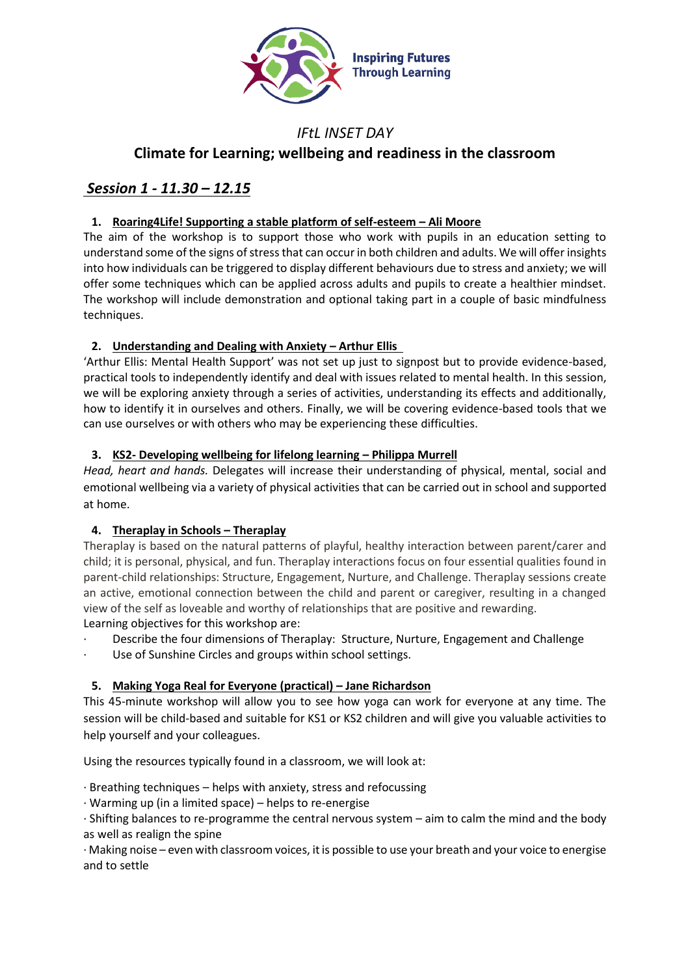

# *IFtL INSET DAY* **Climate for Learning; wellbeing and readiness in the classroom**

# *Session 1 - 11.30 – 12.15*

## **1. Roaring4Life! Supporting a stable platform of self-esteem – Ali Moore**

The aim of the workshop is to support those who work with pupils in an education setting to understand some of the signs of stress that can occur in both children and adults. We will offer insights into how individuals can be triggered to display different behaviours due to stress and anxiety; we will offer some techniques which can be applied across adults and pupils to create a healthier mindset. The workshop will include demonstration and optional taking part in a couple of basic mindfulness techniques.

# **2. Understanding and Dealing with Anxiety – Arthur Ellis**

'Arthur Ellis: Mental Health Support' was not set up just to signpost but to provide evidence-based, practical tools to independently identify and deal with issues related to mental health. In this session, we will be exploring anxiety through a series of activities, understanding its effects and additionally, how to identify it in ourselves and others. Finally, we will be covering evidence-based tools that we can use ourselves or with others who may be experiencing these difficulties.

# **3. KS2-** Developing wellbeing for lifelong learning – Philippa Murrell

*Head, heart and hands.* Delegates will increase their understanding of physical, mental, social and emotional wellbeing via a variety of physical activities that can be carried out in school and supported at home.

# **4. Theraplay in Schools – Theraplay**

Theraplay is based on the natural patterns of playful, healthy interaction between parent/carer and child; it is personal, physical, and fun. Theraplay interactions focus on four essential qualities found in parent-child relationships: Structure, Engagement, Nurture, and Challenge. Theraplay sessions create an active, emotional connection between the child and parent or caregiver, resulting in a changed view of the self as loveable and worthy of relationships that are positive and rewarding. Learning objectives for this workshop are:

- Describe the four dimensions of Theraplay: Structure, Nurture, Engagement and Challenge
- Use of Sunshine Circles and groups within school settings.

# **5. Making Yoga Real for Everyone (practical) – Jane Richardson**

This 45-minute workshop will allow you to see how yoga can work for everyone at any time. The session will be child-based and suitable for KS1 or KS2 children and will give you valuable activities to help yourself and your colleagues.

Using the resources typically found in a classroom, we will look at:

· Breathing techniques – helps with anxiety, stress and refocussing

· Warming up (in a limited space) – helps to re-energise

· Shifting balances to re-programme the central nervous system – aim to calm the mind and the body as well as realign the spine

· Making noise – even with classroom voices, it is possible to use your breath and your voice to energise and to settle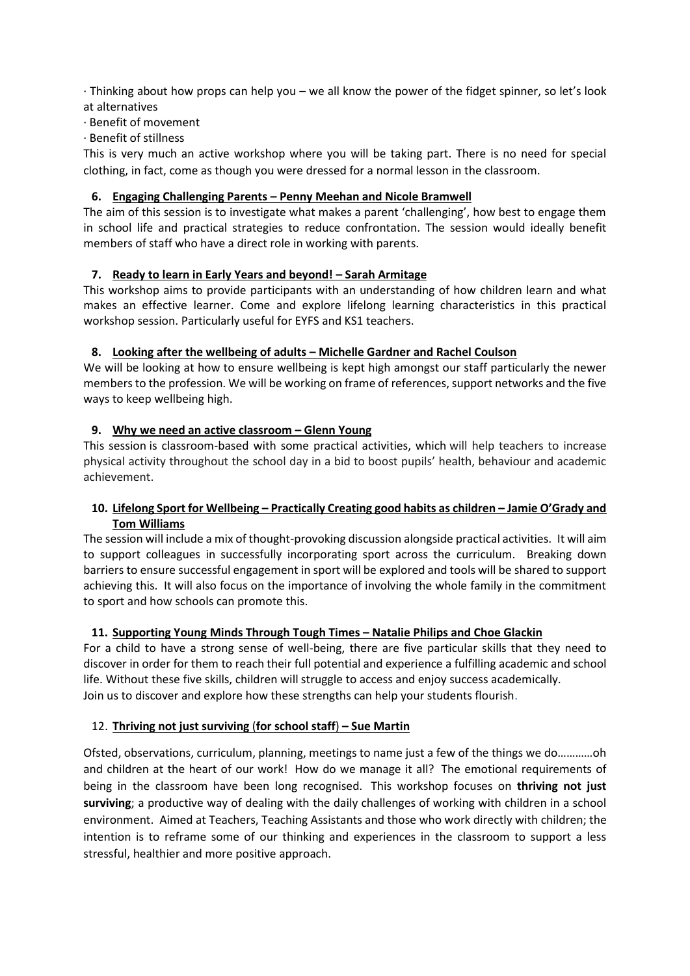· Thinking about how props can help you – we all know the power of the fidget spinner, so let's look at alternatives

- · Benefit of movement
- · Benefit of stillness

This is very much an active workshop where you will be taking part. There is no need for special clothing, in fact, come as though you were dressed for a normal lesson in the classroom.

#### **6. Engaging Challenging Parents – Penny Meehan and Nicole Bramwell**

The aim of this session is to investigate what makes a parent 'challenging', how best to engage them in school life and practical strategies to reduce confrontation. The session would ideally benefit members of staff who have a direct role in working with parents.

### **7. Ready to learn in Early Years and beyond! – Sarah Armitage**

This workshop aims to provide participants with an understanding of how children learn and what makes an effective learner. Come and explore lifelong learning characteristics in this practical workshop session. Particularly useful for EYFS and KS1 teachers.

### **8. Looking after the wellbeing of adults – Michelle Gardner and Rachel Coulson**

We will be looking at how to ensure wellbeing is kept high amongst our staff particularly the newer members to the profession. We will be working on frame of references, support networks and the five ways to keep wellbeing high.

### **9. Why we need an active classroom – Glenn Young**

This session is classroom-based with some practical activities, which will help teachers to increase physical activity throughout the school day in a bid to boost pupils' health, behaviour and academic achievement.

## **10. Lifelong Sport for Wellbeing – Practically Creating good habits as children – Jamie O'Grady and Tom Williams**

The session will include a mix of thought-provoking discussion alongside practical activities. It will aim to support colleagues in successfully incorporating sport across the curriculum. Breaking down barriers to ensure successful engagement in sport will be explored and tools will be shared to support achieving this. It will also focus on the importance of involving the whole family in the commitment to sport and how schools can promote this.

#### **11. Supporting Young Minds Through Tough Times – Natalie Philips and Choe Glackin**

For a child to have a strong sense of well-being, there are five particular skills that they need to discover in order for them to reach their full potential and experience a fulfilling academic and school life. Without these five skills, children will struggle to access and enjoy success academically. Join us to discover and explore how these strengths can help your students flourish.

#### 12. **Thriving not just surviving** (**for school staff**) **– Sue Martin**

Ofsted, observations, curriculum, planning, meetings to name just a few of the things we do…………oh and children at the heart of our work! How do we manage it all? The emotional requirements of being in the classroom have been long recognised. This workshop focuses on **thriving not just surviving**; a productive way of dealing with the daily challenges of working with children in a school environment. Aimed at Teachers, Teaching Assistants and those who work directly with children; the intention is to reframe some of our thinking and experiences in the classroom to support a less stressful, healthier and more positive approach.